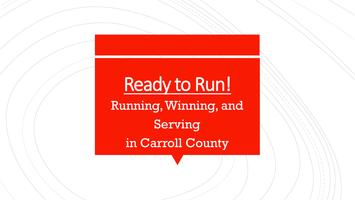# Ready to Run! Running, Winning, and Serving in Carroll County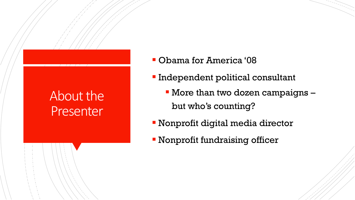### About the Presenter

- Obama for America '08
- **Independent political consultant** 
	- More than two dozen campaigns but who's counting?
- **EX Nonprofit digital media director**
- **EX Nonprofit fundraising officer**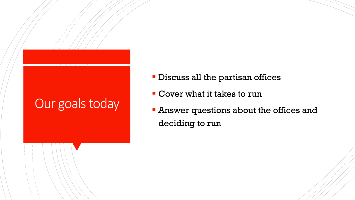#### Our goals today

- **Discuss all the partisan offices**
- Cover what it takes to run
- **Answer questions about the offices and** deciding to run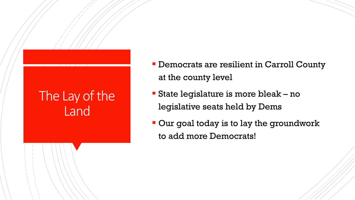#### The Lay of the Land

- **Democrats are resilient in Carroll County** at the county level
- State legislature is more bleak no legislative seats held by Dems
- Our goal today is to lay the groundwork to add more Democrats!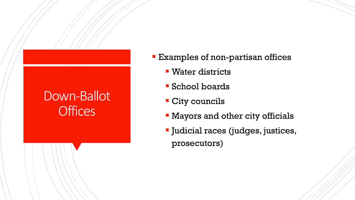#### Down-Ballot **Offices**

- **Examples of non-partisan offices** 
	- Water districts
	- School boards
	- **City councils**
	- **EXA** Mayors and other city officials
	- Judicial races (judges, justices, prosecutors)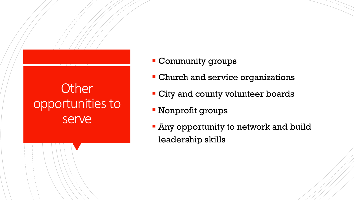### **Other** opportunities to serve

- **Community groups**
- **Church and service organizations**
- **City and county volunteer boards**
- Nonprofit groups
- **Any opportunity to network and build** leadership skills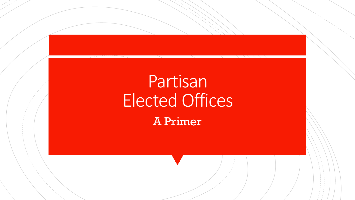# Partisan Elected Offices

A Primer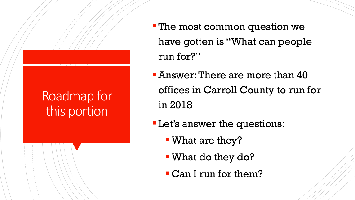# Roadmap for this portion

- **The most common question we** have gotten is "What can people run for?"
- **EXPED 1.5 THERE** are more than 40 offices in Carroll County to run for in 2018
- Let's answer the questions:
	- What are they?
	- ▪What do they do?
	- ▪Can I run for them?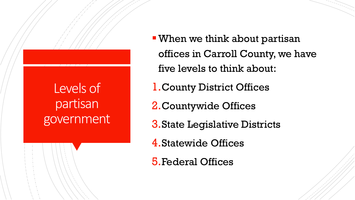#### Levels of partisan government

- When we think about partisan offices in Carroll County, we have five levels to think about:
- 1.County District Offices
- 2.Countywide Offices
- 3.State Legislative Districts
- 4.Statewide Offices
- 5.Federal Offices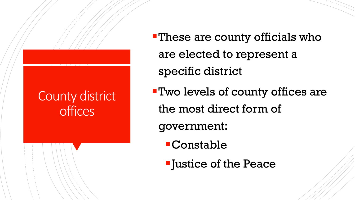#### County district **offices**

- **-These are county officials who** are elected to represent a specific district
- ▪Two levels of county offices are the most direct form of

government:

- ▪Constable
- ▪Justice of the Peace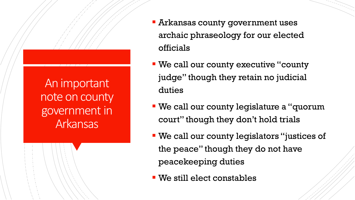An important note on county government in Arkansas

- **EXTEND Arkansas county government uses** archaic phraseology for our elected officials
- **We call our county executive "county"** judge" though they retain no judicial duties
- **We call our county legislature a "quorum** court" though they don't hold trials
- We call our county legislators "justices of the peace" though they do not have peacekeeping duties
- We still elect constables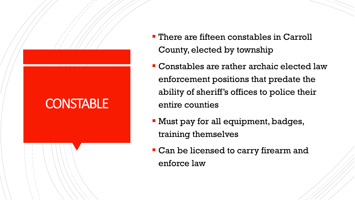# **CONSTABLE**

- **There are fifteen constables in Carroll** County, elected by township
- Constables are rather archaic elected law enforcement positions that predate the ability of sheriff's offices to police their entire counties
- **Must pay for all equipment, badges,** training themselves
- **Can be licensed to carry firearm and** enforce law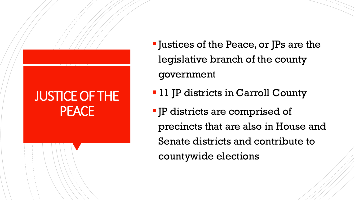#### JUSTICE OF THE PEACE

- Justices of the Peace, or JPs are the legislative branch of the county government
- 11 JP districts in Carroll County
- JP districts are comprised of precincts that are also in House and Senate districts and contribute to countywide elections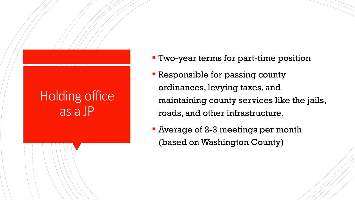#### Holding office as a JP

- **Two-year terms for part-time position**
- **Executive** Responsible for passing county ordinances, levying taxes, and maintaining county services like the jails, roads, and other infrastructure.
- **EXTERGE 12-3 meetings per month** (based on Washington County)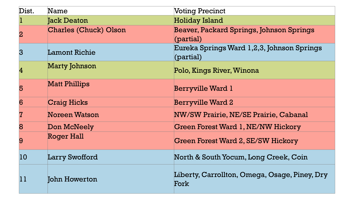| Dist.                   | Name                         | <b>Voting Precinct</b>                                  |
|-------------------------|------------------------------|---------------------------------------------------------|
| 1                       | <b>Jack Deaton</b>           | <b>Holiday Island</b>                                   |
| $\overline{2}$          | <b>Charles (Chuck) Olson</b> | Beaver, Packard Springs, Johnson Springs<br>(partial)   |
| $\overline{3}$          | <b>Lamont Richie</b>         | Eureka Springs Ward 1,2,3, Johnson Springs<br>(partial) |
| $\overline{\mathbf{4}}$ | <b>Marty Johnson</b>         | Polo, Kings River, Winona                               |
| 5                       | <b>Matt Phillips</b>         | <b>Berryville Ward 1</b>                                |
| 6                       | <b>Craig Hicks</b>           | <b>Berryville Ward 2</b>                                |
| 7                       | <b>Noreen Watson</b>         | NW/SW Prairie, NE/SE Prairie, Cabanal                   |
| 8                       | Don McNeely                  | <b>Green Forest Ward 1, NE/NW Hickory</b>               |
| 9                       | <b>Roger Hall</b>            | <b>Green Forest Ward 2, SE/SW Hickory</b>               |
| 10                      | <b>Larry Swofford</b>        | North & South Yocum, Long Creek, Coin                   |
| 11                      | John Howerton                | Liberty, Carrollton, Omega, Osage, Piney, Dry<br>Fork   |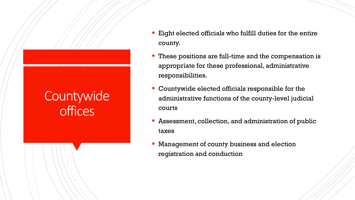#### **Countywide offices**

- **Eight elected officials who fulfill duties for the entire** county.
- These positions are full-time and the compensation is appropriate for these professional, administrative responsibilities.
- **EX Countywide elected officials responsible for the** administrative functions of the county-level judicial courts
- Assessment, collection, and administration of public taxes
- Management of county business and election registration and conduction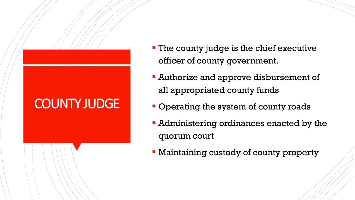# COUNTY JUDGE

- **The county judge is the chief executive** officer of county government.
- **EXEC** Authorize and approve disbursement of all appropriated county funds
- **Operating the system of county roads**
- **EX Administering ordinances enacted by the** quorum court
- **Maintaining custody of county property**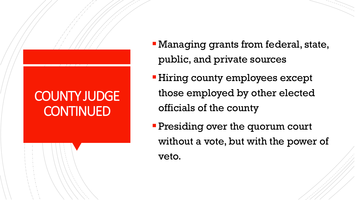#### COUNTY JUDGE **CONTINUED**

- **Managing grants from federal, state,** public, and private sources
- **Hiring county employees except** those employed by other elected officials of the county
- **Presiding over the quorum court** without a vote, but with the power of veto.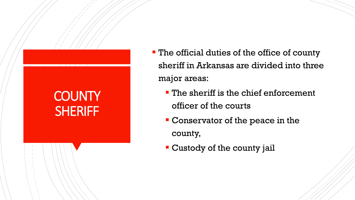#### **COUNTY SHERIFF**

- **The official duties of the office of county** sheriff in Arkansas are divided into three major areas:
	- The sheriff is the chief enforcement officer of the courts
	- **Conservator of the peace in the** county,
	- **EX Custody of the county jail**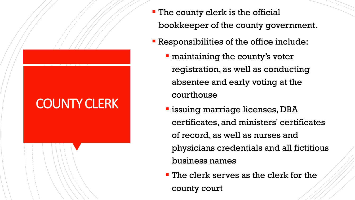# COUNTY CLERK

- **The county clerk is the official** bookkeeper of the county government.
- Responsibilities of the office include:
	- **Example 1 maintaining the county's voter** registration, as well as conducting absentee and early voting at the courthouse
	- **Example 1** issuing marriage licenses, DBA certificates, and ministers' certificates of record, as well as nurses and physicians credentials and all fictitious business names
	- **The clerk serves as the clerk for the** county court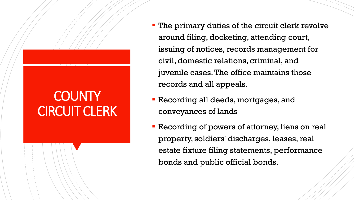## **COUNTY CIRCUIT CLERK**

- **The primary duties of the circuit clerk revolve** around filing, docketing, attending court, issuing of notices, records management for civil, domestic relations, criminal, and juvenile cases. The office maintains those records and all appeals.
- **Recording all deeds, mortgages, and** conveyances of lands
- **Recording of powers of attorney, liens on real** property, soldiers' discharges, leases, real estate fixture filing statements, performance bonds and public official bonds.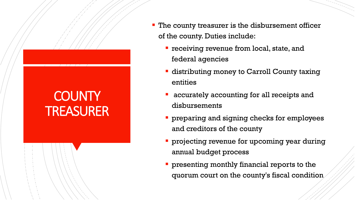# **COUNTY** TREASURER

- **The county treasurer is the disbursement officer** of the county. Duties include:
	- **Teceiving revenue from local, state, and** federal agencies
	- **Example 1** distributing money to Carroll County taxing entities
	- accurately accounting for all receipts and disbursements
	- **preparing and signing checks for employees** and creditors of the county
	- **projecting revenue for upcoming year during** annual budget process
	- **presenting monthly financial reports to the** quorum court on the county's fiscal condition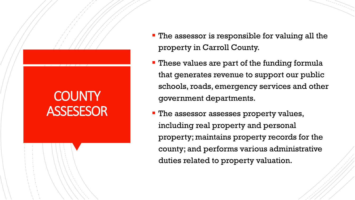## **COUNTY** ASSESESOR

- **The assessor is responsible for valuing all the** property in Carroll County.
- **These values are part of the funding formula** that generates revenue to support our public schools, roads, emergency services and other government departments.
- **The assessor assesses property values,** including real property and personal property; maintains property records for the county; and performs various administrative duties related to property valuation.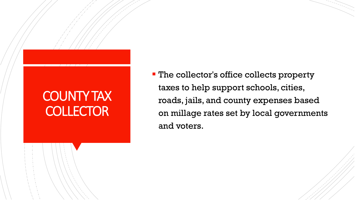#### COUNTY TAX **COLLECTOR**

**- The collector's office collects property** taxes to help support schools, cities, roads, jails, and county expenses based on millage rates set by local governments and voters.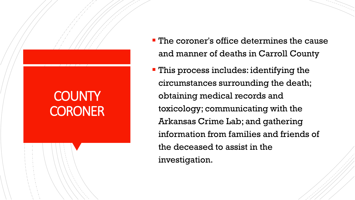# **COUNTY CORONER**

- **The coroner's office determines the cause** and manner of deaths in Carroll County
- **This process includes: identifying the** circumstances surrounding the death; obtaining medical records and toxicology; communicating with the Arkansas Crime Lab; and gathering information from families and friends of the deceased to assist in the investigation.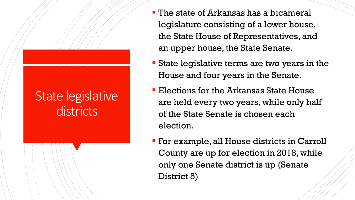#### State legislative **districts**

- **The state of Arkansas has a bicameral** legislature consisting of a lower house, the State House of Representatives, and an upper house, the State Senate.
- **Example 3 State legislative terms are two years in the** House and four years in the Senate.
- **Elections for the Arkansas State House** are held every two years, while only half of the State Senate is chosen each election.
- **For example, all House districts in Carroll** County are up for election in 2018, while only one Senate district is up (Senate District 5)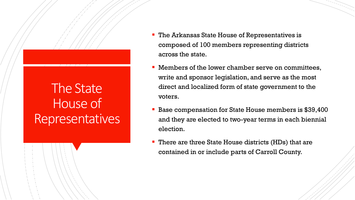#### The State House of Representatives

- The Arkansas State House of Representatives is composed of 100 members representing districts across the state.
- Members of the lower chamber serve on committees, write and sponsor legislation, and serve as the most direct and localized form of state government to the voters.
- Base compensation for State House members is \$39,400 and they are elected to two-year terms in each biennial election.
- There are three State House districts (HDs) that are contained in or include parts of Carroll County.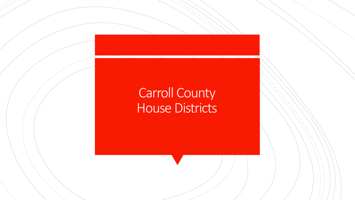#### Carroll County House Districts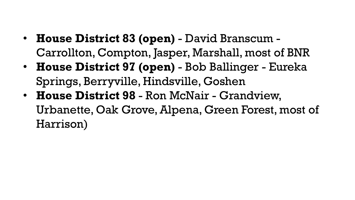- **House District 83 (open)**  David Branscum Carrollton, Compton, Jasper, Marshall, most of BNR
- **House District 97 (open)**  Bob Ballinger Eureka Springs, Berryville, Hindsville, Goshen
- **House District 98**  Ron McNair Grandview, Urbanette, Oak Grove, Alpena, Green Forest, most of Harrison)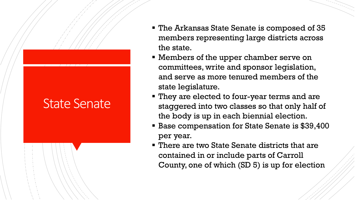#### State Senate

- The Arkansas State Senate is composed of 35 members representing large districts across the state.
- **EXE** Members of the upper chamber serve on committees, write and sponsor legislation, and serve as more tenured members of the state legislature.
- They are elected to four-year terms and are staggered into two classes so that only half of the body is up in each biennial election.
- **Base compensation for State Senate is \$39,400** per year.
- There are two State Senate districts that are contained in or include parts of Carroll County, one of which (SD 5) is up for election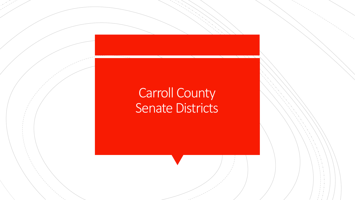#### Carroll County Senate Districts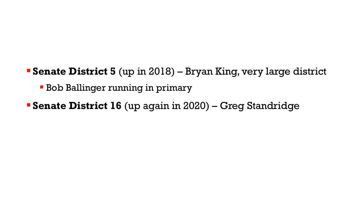- **Senate District 5** (up in 2018) Bryan King, very large district
	- **Bob Ballinger running in primary**
- **Senate District 16** (up again in 2020) Greg Standridge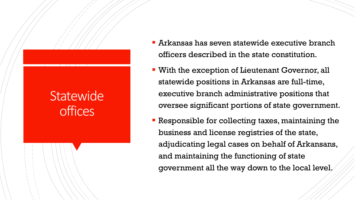#### **Statewide** offices

- $\blacksquare$  Arkansas has seven statewide executive branch officers described in the state constitution.
- **E** With the exception of Lieutenant Governor, all statewide positions in Arkansas are full-time, executive branch administrative positions that oversee significant portions of state government.
- **Responsible for collecting taxes, maintaining the** business and license registries of the state, adjudicating legal cases on behalf of Arkansans, and maintaining the functioning of state government all the way down to the local level.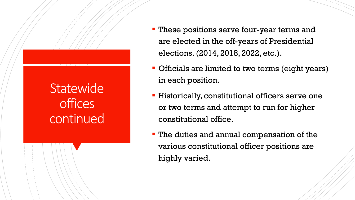#### **Statewide offices** continued

- **These positions serve four-year terms and** are elected in the off-years of Presidential elections. (2014, 2018, 2022, etc.).
- **Officials are limited to two terms (eight years)** in each position.
- **EXTERGHEET III.** Thistorically, constitutional officers serve one or two terms and attempt to run for higher constitutional office.
- **The duties and annual compensation of the** various constitutional officer positions are highly varied.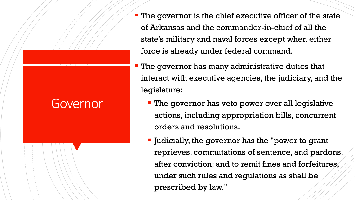#### Governor

- **The governor is the chief executive officer of the state** of Arkansas and the commander-in-chief of all the state's military and naval forces except when either force is already under federal command.
- **The governor has many administrative duties that** interact with executive agencies, the judiciary, and the legislature:
	- **The governor has veto power over all legislative** actions, including appropriation bills, concurrent orders and resolutions.
	- Judicially, the governor has the "power to grant reprieves, commutations of sentence, and pardons, after conviction; and to remit fines and forfeitures, under such rules and regulations as shall be prescribed by law."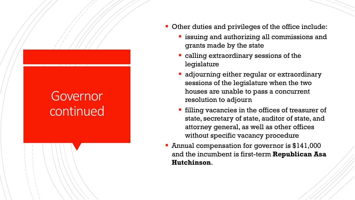#### **Governor** continued

- **Other duties and privileges of the office include:** 
	- **Example 1** issuing and authorizing all commissions and grants made by the state
	- calling extraordinary sessions of the legislature
	- **E** adjourning either regular or extraordinary sessions of the legislature when the two houses are unable to pass a concurrent resolution to adjourn
	- **EXTE:** filling vacancies in the offices of treasurer of state, secretary of state, auditor of state, and attorney general, as well as other offices without specific vacancy procedure
- Annual compensation for governor is \$141,000 and the incumbent is first-term **Republican Asa Hutchinson**.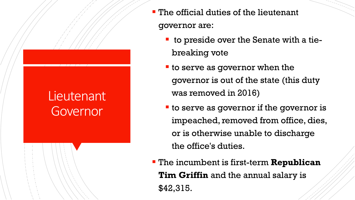#### Lieutenant Governor

- The official duties of the lieutenant governor are:
	- to preside over the Senate with a tiebreaking vote
	- **The serve as governor when the** governor is out of the state (this duty was removed in 2016)
	- to serve as governor if the governor is impeached, removed from office, dies, or is otherwise unable to discharge the office's duties.
- The incumbent is first-term **Republican Tim Griffin** and the annual salary is \$42,315.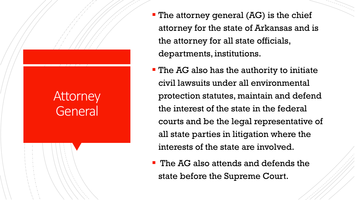#### **Attorney** General

- The attorney general (AG) is the chief attorney for the state of Arkansas and is the attorney for all state officials, departments, institutions.
- **The AG also has the authority to initiate** civil lawsuits under all environmental protection statutes, maintain and defend the interest of the state in the federal courts and be the legal representative of all state parties in litigation where the interests of the state are involved.
- **The AG also attends and defends the** state before the Supreme Court.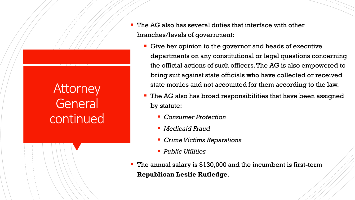#### **Attorney** General continued

- The AG also has several duties that interface with other branches/levels of government:
	- Give her opinion to the governor and heads of executive departments on any constitutional or legal questions concerning the official actions of such officers. The AG is also empowered to bring suit against state officials who have collected or received state monies and not accounted for them according to the law.
	- The AG also has broad responsibilities that have been assigned by statute:
		- *Consumer Protection*
		- *Medicaid Fraud*
		- *Crime Victims Reparations*
		- *Public Utilities*
- The annual salary is \$130,000 and the incumbent is first-term **Republican Leslie Rutledge**.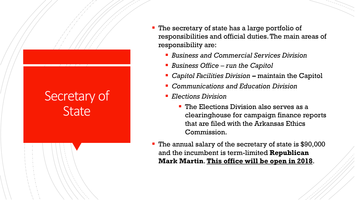#### Secretary of **State**

- **The secretary of state has a large portfolio of** responsibilities and official duties. The main areas of responsibility are:
	- *Business and Commercial Services Division*
	- *Business Office run the Capitol*
	- *Capitol Facilities Division –* maintain the Capitol
	- *Communications and Education Division*
	- *Elections Division*
		- **The Elections Division also serves as a** clearinghouse for campaign finance reports that are filed with the Arkansas Ethics Commission.
- The annual salary of the secretary of state is \$90,000 and the incumbent is term-limited **Republican Mark Martin**. **This office will be open in 2018**.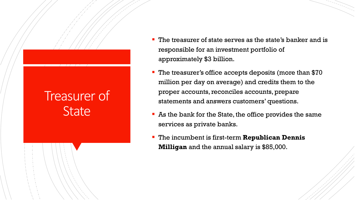#### Treasurer of **State**

- The treasurer of state serves as the state's banker and is responsible for an investment portfolio of approximately \$3 billion.
- The treasurer's office accepts deposits (more than \$70 million per day on average) and credits them to the proper accounts, reconciles accounts, prepare statements and answers customers' questions.
- As the bank for the State, the office provides the same services as private banks.
- The incumbent is first-term **Republican Dennis Milligan** and the annual salary is \$85,000.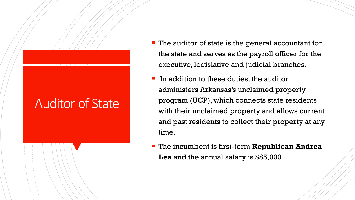#### Auditor of State

- **The auditor of state is the general accountant for** the state and serves as the payroll officer for the executive, legislative and judicial branches.
- In addition to these duties, the auditor administers Arkansas's unclaimed property program (UCP), which connects state residents with their unclaimed property and allows current and past residents to collect their property at any time.
- The incumbent is first-term **Republican Andrea Lea** and the annual salary is \$85,000.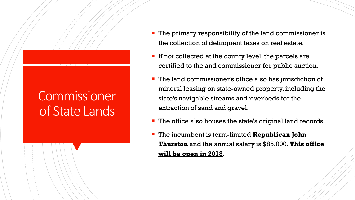#### **Commissioner** of State Lands

- **The primary responsibility of the land commissioner is** the collection of delinquent taxes on real estate.
- **If not collected at the county level, the parcels are** certified to the and commissioner for public auction.
- **The land commissioner's office also has jurisdiction of** mineral leasing on state-owned property, including the state's navigable streams and riverbeds for the extraction of sand and gravel.
- The office also houses the state's original land records.
- The incumbent is term-limited **Republican John Thurston** and the annual salary is \$85,000. **This office will be open in 2018**.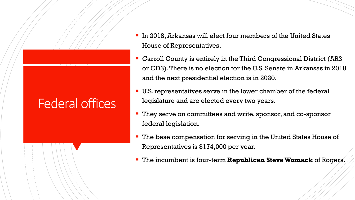#### Federal offices

- In 2018, Arkansas will elect four members of the United States House of Representatives.
- Carroll County is entirely in the Third Congressional District (AR3 or CD3). There is no election for the U.S. Senate in Arkansas in 2018 and the next presidential election is in 2020.
- U.S. representatives serve in the lower chamber of the federal legislature and are elected every two years.
- **They serve on committees and write, sponsor, and co-sponsor** federal legislation.
- The base compensation for serving in the United States House of Representatives is \$174,000 per year.
- The incumbent is four-term **Republican Steve Womack** of Rogers.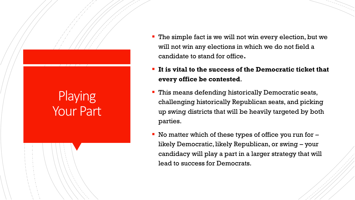# **Playing** Your Part

- The simple fact is we will not win every election, but we will not win any elections in which we do not field a candidate to stand for office**.**
- It is vital to the success of the Democratic ticket that **every office be contested**.
- This means defending historically Democratic seats, challenging historically Republican seats, and picking up swing districts that will be heavily targeted by both parties.
- No matter which of these types of office you run for  $$ likely Democratic, likely Republican, or swing – your candidacy will play a part in a larger strategy that will lead to success for Democrats.